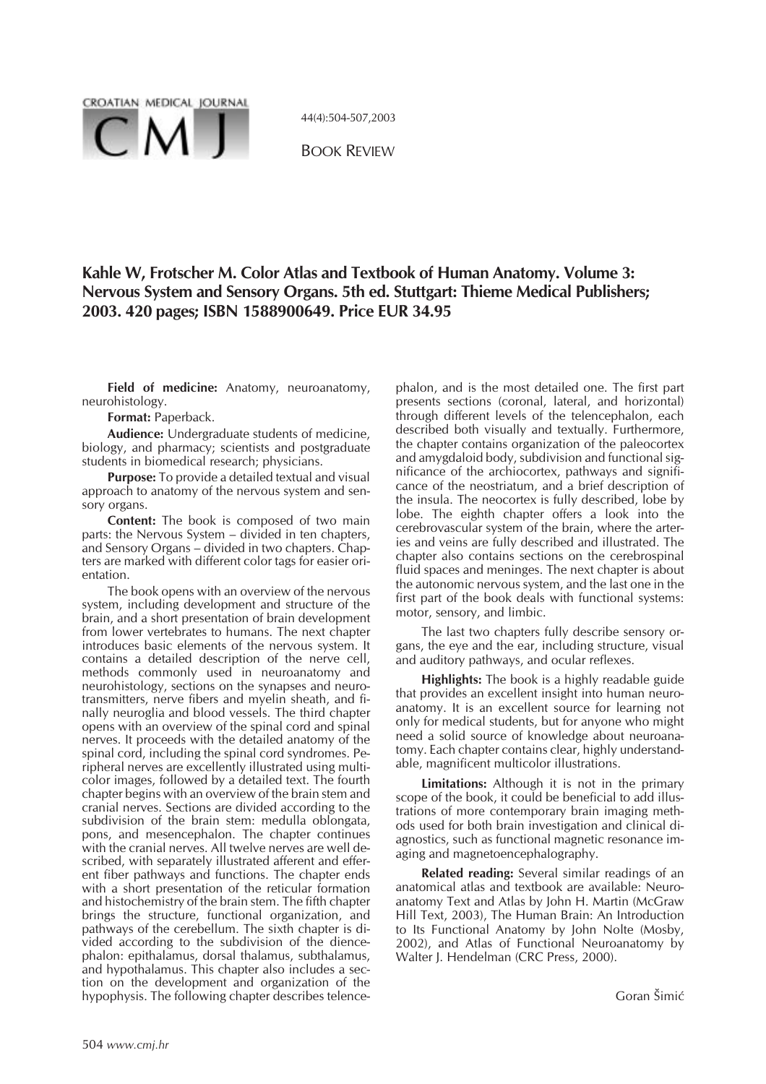

44(4):504-507,2003

BOOK REVIEW

# **Kahle W, Frotscher M. Color Atlas and Textbook of Human Anatomy. Volume 3: Nervous System and Sensory Organs. 5th ed. Stuttgart: Thieme Medical Publishers; 2003. 420 pages; ISBN 1588900649. Price EUR 34.95**

**Field of medicine:** Anatomy, neuroanatomy, neurohistology.

**Format:** Paperback.

**Audience:** Undergraduate students of medicine, biology, and pharmacy; scientists and postgraduate students in biomedical research; physicians.

**Purpose:** To provide a detailed textual and visual approach to anatomy of the nervous system and sensory organs.

**Content:** The book is composed of two main parts: the Nervous System – divided in ten chapters, and Sensory Organs – divided in two chapters. Chapters are marked with different color tags for easier orientation.

The book opens with an overview of the nervous system, including development and structure of the brain, and a short presentation of brain development from lower vertebrates to humans. The next chapter introduces basic elements of the nervous system. It contains a detailed description of the nerve cell, methods commonly used in neuroanatomy and neurohistology, sections on the synapses and neurotransmitters, nerve fibers and myelin sheath, and finally neuroglia and blood vessels. The third chapter opens with an overview of the spinal cord and spinal nerves. It proceeds with the detailed anatomy of the spinal cord, including the spinal cord syndromes. Peripheral nerves are excellently illustrated using multicolor images, followed by a detailed text. The fourth chapter begins with an overview of the brain stem and cranial nerves. Sections are divided according to the subdivision of the brain stem: medulla oblongata, pons, and mesencephalon. The chapter continues with the cranial nerves. All twelve nerves are well described, with separately illustrated afferent and efferent fiber pathways and functions. The chapter ends with a short presentation of the reticular formation and histochemistry of the brain stem. The fifth chapter brings the structure, functional organization, and pathways of the cerebellum. The sixth chapter is divided according to the subdivision of the diencephalon: epithalamus, dorsal thalamus, subthalamus, and hypothalamus. This chapter also includes a section on the development and organization of the hypophysis. The following chapter describes telencephalon, and is the most detailed one. The first part presents sections (coronal, lateral, and horizontal) through different levels of the telencephalon, each described both visually and textually. Furthermore, the chapter contains organization of the paleocortex and amygdaloid body, subdivision and functional significance of the archiocortex, pathways and significance of the neostriatum, and a brief description of the insula. The neocortex is fully described, lobe by lobe. The eighth chapter offers a look into the cerebrovascular system of the brain, where the arteries and veins are fully described and illustrated. The chapter also contains sections on the cerebrospinal fluid spaces and meninges. The next chapter is about the autonomic nervous system, and the last one in the first part of the book deals with functional systems: motor, sensory, and limbic.

The last two chapters fully describe sensory organs, the eye and the ear, including structure, visual and auditory pathways, and ocular reflexes.

**Highlights:** The book is a highly readable guide that provides an excellent insight into human neuroanatomy. It is an excellent source for learning not only for medical students, but for anyone who might need a solid source of knowledge about neuroanatomy. Each chapter contains clear, highly understandable, magnificent multicolor illustrations.

**Limitations:** Although it is not in the primary scope of the book, it could be beneficial to add illustrations of more contemporary brain imaging methods used for both brain investigation and clinical diagnostics, such as functional magnetic resonance imaging and magnetoencephalography.

**Related reading:** Several similar readings of an anatomical atlas and textbook are available: Neuroanatomy Text and Atlas by John H. Martin (McGraw Hill Text, 2003), The Human Brain: An Introduction to Its Functional Anatomy by John Nolte (Mosby, 2002), and Atlas of Functional Neuroanatomy by Walter J. Hendelman (CRC Press, 2000).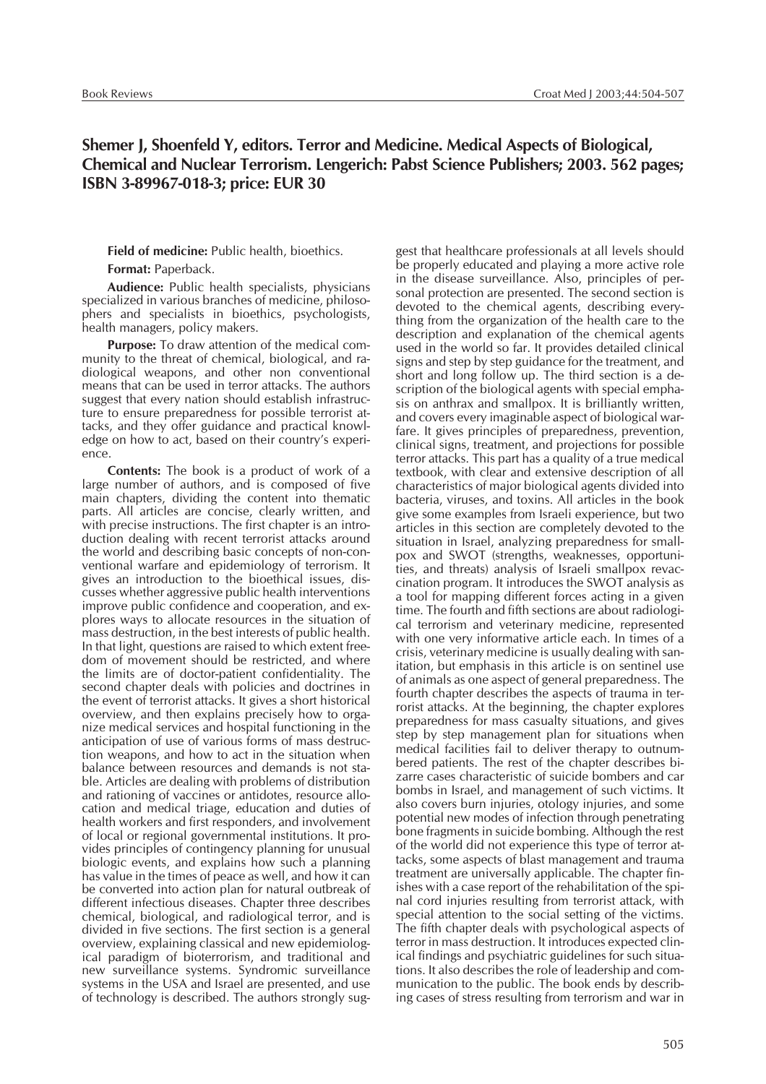## **Shemer J, Shoenfeld Y, editors. Terror and Medicine. Medical Aspects of Biological, Chemical and Nuclear Terrorism. Lengerich: Pabst Science Publishers; 2003. 562 pages; ISBN 3-89967-018-3; price: EUR 30**

#### **Field of medicine:** Public health, bioethics. **Format:** Paperback.

**Audience:** Public health specialists, physicians specialized in various branches of medicine, philosophers and specialists in bioethics, psychologists, health managers, policy makers.

**Purpose:** To draw attention of the medical community to the threat of chemical, biological, and radiological weapons, and other non conventional means that can be used in terror attacks. The authors suggest that every nation should establish infrastructure to ensure preparedness for possible terrorist attacks, and they offer guidance and practical knowledge on how to act, based on their country's experience.

**Contents:** The book is a product of work of a large number of authors, and is composed of five main chapters, dividing the content into thematic parts. All articles are concise, clearly written, and with precise instructions. The first chapter is an introduction dealing with recent terrorist attacks around the world and describing basic concepts of non-conventional warfare and epidemiology of terrorism. It gives an introduction to the bioethical issues, discusses whether aggressive public health interventions improve public confidence and cooperation, and explores ways to allocate resources in the situation of mass destruction, in the best interests of public health. In that light, questions are raised to which extent freedom of movement should be restricted, and where the limits are of doctor-patient confidentiality. The second chapter deals with policies and doctrines in the event of terrorist attacks. It gives a short historical overview, and then explains precisely how to organize medical services and hospital functioning in the anticipation of use of various forms of mass destruction weapons, and how to act in the situation when balance between resources and demands is not stable. Articles are dealing with problems of distribution and rationing of vaccines or antidotes, resource allocation and medical triage, education and duties of health workers and first responders, and involvement of local or regional governmental institutions. It provides principles of contingency planning for unusual biologic events, and explains how such a planning has value in the times of peace as well, and how it can be converted into action plan for natural outbreak of different infectious diseases. Chapter three describes chemical, biological, and radiological terror, and is divided in five sections. The first section is a general overview, explaining classical and new epidemiological paradigm of bioterrorism, and traditional and new surveillance systems. Syndromic surveillance systems in the USA and Israel are presented, and use of technology is described. The authors strongly sug-

gest that healthcare professionals at all levels should be properly educated and playing a more active role in the disease surveillance. Also, principles of personal protection are presented. The second section is devoted to the chemical agents, describing everything from the organization of the health care to the description and explanation of the chemical agents used in the world so far. It provides detailed clinical signs and step by step guidance for the treatment, and short and long follow up. The third section is a description of the biological agents with special emphasis on anthrax and smallpox. It is brilliantly written, and covers every imaginable aspect of biological warfare. It gives principles of preparedness, prevention, clinical signs, treatment, and projections for possible terror attacks. This part has a quality of a true medical textbook, with clear and extensive description of all characteristics of major biological agents divided into bacteria, viruses, and toxins. All articles in the book give some examples from Israeli experience, but two articles in this section are completely devoted to the situation in Israel, analyzing preparedness for smallpox and SWOT (strengths, weaknesses, opportunities, and threats) analysis of Israeli smallpox revaccination program. It introduces the SWOT analysis as a tool for mapping different forces acting in a given time. The fourth and fifth sections are about radiological terrorism and veterinary medicine, represented with one very informative article each. In times of a crisis, veterinary medicine is usually dealing with sanitation, but emphasis in this article is on sentinel use of animals as one aspect of general preparedness. The fourth chapter describes the aspects of trauma in terrorist attacks. At the beginning, the chapter explores preparedness for mass casualty situations, and gives step by step management plan for situations when medical facilities fail to deliver therapy to outnumbered patients. The rest of the chapter describes bizarre cases characteristic of suicide bombers and car bombs in Israel, and management of such victims. It also covers burn injuries, otology injuries, and some potential new modes of infection through penetrating bone fragments in suicide bombing. Although the rest of the world did not experience this type of terror attacks, some aspects of blast management and trauma treatment are universally applicable. The chapter finishes with a case report of the rehabilitation of the spinal cord injuries resulting from terrorist attack, with special attention to the social setting of the victims. The fifth chapter deals with psychological aspects of terror in mass destruction. It introduces expected clinical findings and psychiatric guidelines for such situations. It also describes the role of leadership and communication to the public. The book ends by describing cases of stress resulting from terrorism and war in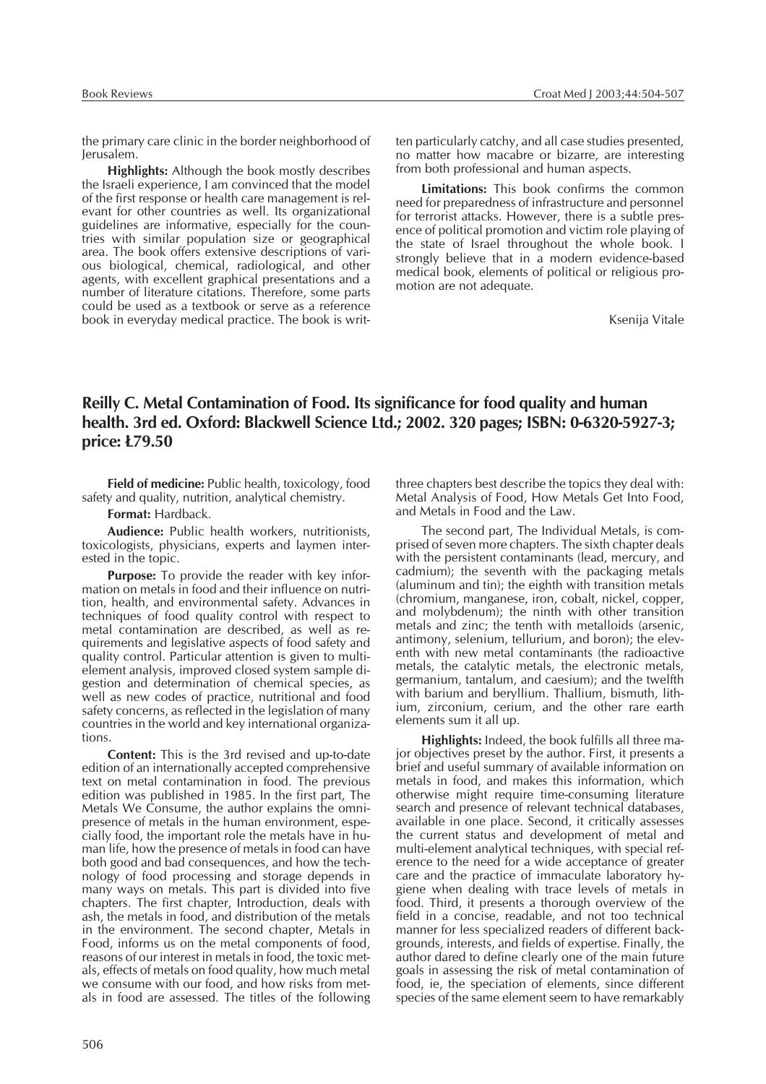the primary care clinic in the border neighborhood of Jerusalem.

**Highlights:** Although the book mostly describes the Israeli experience, I am convinced that the model of the first response or health care management is relevant for other countries as well. Its organizational guidelines are informative, especially for the countries with similar population size or geographical area. The book offers extensive descriptions of various biological, chemical, radiological, and other agents, with excellent graphical presentations and a number of literature citations. Therefore, some parts could be used as a textbook or serve as a reference book in everyday medical practice. The book is written particularly catchy, and all case studies presented, no matter how macabre or bizarre, are interesting from both professional and human aspects.

**Limitations:** This book confirms the common need for preparedness of infrastructure and personnel for terrorist attacks. However, there is a subtle presence of political promotion and victim role playing of the state of Israel throughout the whole book. I strongly believe that in a modern evidence-based medical book, elements of political or religious promotion are not adequate.

Ksenija Vitale

# **Reilly C. Metal Contamination of Food. Its significance for food quality and human health. 3rd ed. Oxford: Blackwell Science Ltd.; 2002. 320 pages; ISBN: 0-6320-5927-3; price: £79.50**

**Field of medicine:** Public health, toxicology, food safety and quality, nutrition, analytical chemistry.

**Format:** Hardback.

**Audience:** Public health workers, nutritionists, toxicologists, physicians, experts and laymen interested in the topic.

**Purpose:** To provide the reader with key information on metals in food and their influence on nutrition, health, and environmental safety. Advances in techniques of food quality control with respect to metal contamination are described, as well as requirements and legislative aspects of food safety and quality control. Particular attention is given to multielement analysis, improved closed system sample digestion and determination of chemical species, as well as new codes of practice, nutritional and food safety concerns, as reflected in the legislation of many countries in the world and key international organizations.

**Content:** This is the 3rd revised and up-to-date edition of an internationally accepted comprehensive text on metal contamination in food. The previous edition was published in 1985. In the first part, The Metals We Consume, the author explains the omnipresence of metals in the human environment, especially food, the important role the metals have in human life, how the presence of metals in food can have both good and bad consequences, and how the technology of food processing and storage depends in many ways on metals. This part is divided into five chapters. The first chapter, Introduction, deals with ash, the metals in food, and distribution of the metals in the environment. The second chapter, Metals in Food, informs us on the metal components of food, reasons of our interest in metals in food, the toxic metals, effects of metals on food quality, how much metal we consume with our food, and how risks from metals in food are assessed. The titles of the following

three chapters best describe the topics they deal with: Metal Analysis of Food, How Metals Get Into Food, and Metals in Food and the Law.

The second part, The Individual Metals, is comprised of seven more chapters. The sixth chapter deals with the persistent contaminants (lead, mercury, and cadmium); the seventh with the packaging metals (aluminum and tin); the eighth with transition metals (chromium, manganese, iron, cobalt, nickel, copper, and molybdenum); the ninth with other transition metals and zinc; the tenth with metalloids (arsenic, antimony, selenium, tellurium, and boron); the eleventh with new metal contaminants (the radioactive metals, the catalytic metals, the electronic metals, germanium, tantalum, and caesium); and the twelfth with barium and beryllium. Thallium, bismuth, lithium, zirconium, cerium, and the other rare earth elements sum it all up.

**Highlights:** Indeed, the book fulfills all three major objectives preset by the author. First, it presents a brief and useful summary of available information on metals in food, and makes this information, which otherwise might require time-consuming literature search and presence of relevant technical databases, available in one place. Second, it critically assesses the current status and development of metal and multi-element analytical techniques, with special reference to the need for a wide acceptance of greater care and the practice of immaculate laboratory hygiene when dealing with trace levels of metals in food. Third, it presents a thorough overview of the field in a concise, readable, and not too technical manner for less specialized readers of different backgrounds, interests, and fields of expertise. Finally, the author dared to define clearly one of the main future goals in assessing the risk of metal contamination of food, ie, the speciation of elements, since different species of the same element seem to have remarkably